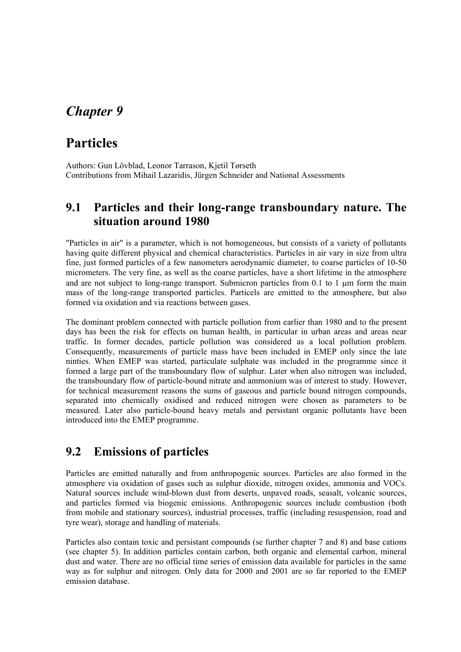# *Chapter 9*

# **Particles**

Authors: Gun Lövblad, Leonor Tarrason, Kjetil Tørseth Contributions from Mihail Lazaridis, Jürgen Schneider and National Assessments

### **9.1 Particles and their long-range transboundary nature. The situation around 1980**

"Particles in air" is a parameter, which is not homogeneous, but consists of a variety of pollutants having quite different physical and chemical characteristics. Particles in air vary in size from ultra fine, just formed particles of a few nanometers aerodynamic diameter, to coarse particles of 10-50 micrometers. The very fine, as well as the coarse particles, have a short lifetime in the atmosphere and are not subject to long-range transport. Submicron particles from 0.1 to 1 µm form the main mass of the long-range transported particles. Particels are emitted to the atmosphere, but also formed via oxidation and via reactions between gases.

The dominant problem connected with particle pollution from earlier than 1980 and to the present days has been the risk for effects on human health, in particular in urban areas and areas near traffic. In former decades, particle pollution was considered as a local pollution problem. Consequently, measurements of particle mass have been included in EMEP only since the late ninties. When EMEP was started, particulate sulphate was included in the programme since it formed a large part of the transboundary flow of sulphur. Later when also nitrogen was included, the transboundary flow of particle-bound nitrate and ammonium was of interest to study. However, for technical measurement reasons the sums of gaseous and particle bound nitrogen compounds, separated into chemically oxidised and reduced nitrogen were chosen as parameters to be measured. Later also particle-bound heavy metals and persistant organic pollutants have been introduced into the EMEP programme.

### **9.2 Emissions of particles**

Particles are emitted naturally and from anthropogenic sources. Particles are also formed in the atmosphere via oxidation of gases such as sulphur dioxide, nitrogen oxides, ammonia and VOCs. Natural sources include wind-blown dust from deserts, unpaved roads, seasalt, volcanic sources, and particles formed via biogenic emissions. Anthropogenic sources include combustion (both from mobile and stationary sources), industrial processes, traffic (including resuspension, road and tyre wear), storage and handling of materials.

Particles also contain toxic and persistant compounds (se further chapter 7 and 8) and base cations (see chapter 5). In addition particles contain carbon, both organic and elemental carbon, mineral dust and water. There are no official time series of emission data available for particles in the same way as for sulphur and nitrogen. Only data for 2000 and 2001 are so far reported to the EMEP emission database.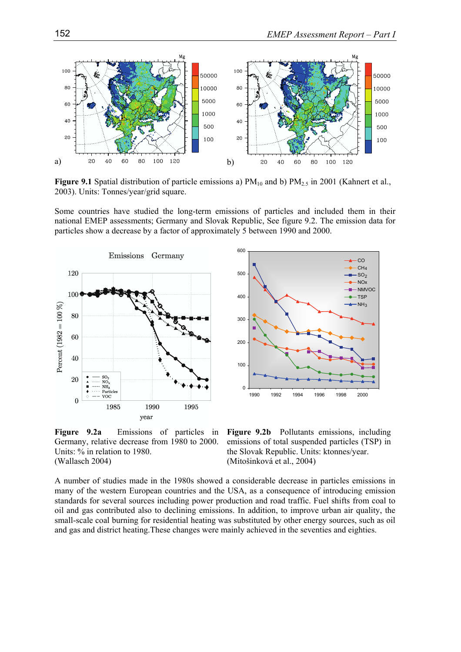

**Figure 9.1** Spatial distribution of particle emissions a)  $PM_{10}$  and b)  $PM_{2.5}$  in 2001 (Kahnert et al., 2003). Units: Tonnes/year/grid square.

Some countries have studied the long-term emissions of particles and included them in their national EMEP assessments; Germany and Slovak Republic, See figure 9.2. The emission data for particles show a decrease by a factor of approximately 5 between 1990 and 2000.





**Figure 9.2a** Emissions of particles in Germany, relative decrease from 1980 to 2000. Units: % in relation to 1980. (Wallasch 2004)

**Figure 9.2b** Pollutants emissions, including emissions of total suspended particles (TSP) in the Slovak Republic. Units: ktonnes/year. (Mitošinková et al., 2004)

A number of studies made in the 1980s showed a considerable decrease in particles emissions in many of the western European countries and the USA, as a consequence of introducing emission standards for several sources including power production and road traffic. Fuel shifts from coal to oil and gas contributed also to declining emissions. In addition, to improve urban air quality, the small-scale coal burning for residential heating was substituted by other energy sources, such as oil and gas and district heating.These changes were mainly achieved in the seventies and eighties.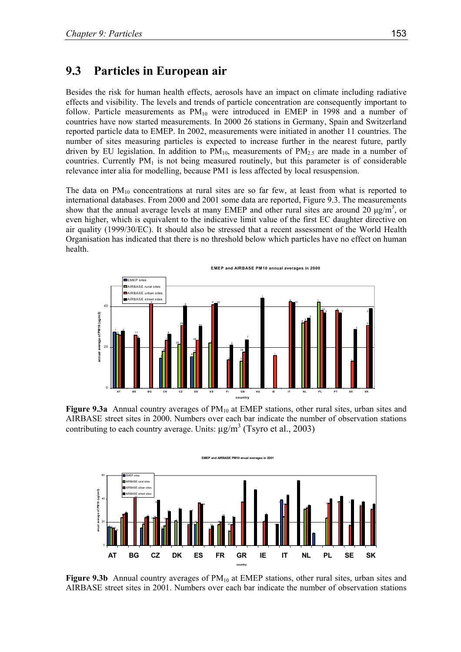#### **9.3 Particles in European air**

Besides the risk for human health effects, aerosols have an impact on climate including radiative effects and visibility. The levels and trends of particle concentration are consequently important to follow. Particle measurements as  $PM_{10}$  were introduced in EMEP in 1998 and a number of countries have now started measurements. In 2000 26 stations in Germany, Spain and Switzerland reported particle data to EMEP. In 2002, measurements were initiated in another 11 countries. The number of sites measuring particles is expected to increase further in the nearest future, partly driven by EU legislation. In addition to  $PM_{10}$ , measurements of  $PM_{2.5}$  are made in a number of countries. Currently  $PM<sub>1</sub>$  is not being measured routinely, but this parameter is of considerable relevance inter alia for modelling, because PM1 is less affected by local resuspension.

The data on  $PM_{10}$  concentrations at rural sites are so far few, at least from what is reported to international databases. From 2000 and 2001 some data are reported, Figure 9.3. The measurements show that the annual average levels at many EMEP and other rural sites are around 20  $\mu$ g/m<sup>3</sup>, or even higher, which is equivalent to the indicative limit value of the first EC daughter directive on air quality (1999/30/EC). It should also be stressed that a recent assessment of the World Health Organisation has indicated that there is no threshold below which particles have no effect on human health.



**Figure 9.3a** Annual country averages of PM<sub>10</sub> at EMEP stations, other rural sites, urban sites and AIRBASE street sites in 2000. Numbers over each bar indicate the number of observation stations contributing to each country average. Units:  $\mu$ g/m<sup>3</sup> (Tsyro et al., 2003)



Figure 9.3b Annual country averages of PM<sub>10</sub> at EMEP stations, other rural sites, urban sites and AIRBASE street sites in 2001. Numbers over each bar indicate the number of observation stations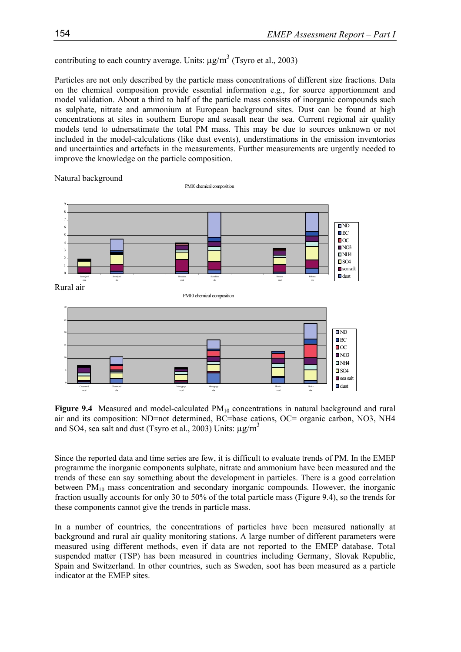contributing to each country average. Units:  $\mu$ g/m<sup>3</sup> (Tsyro et al., 2003)

Particles are not only described by the particle mass concentrations of different size fractions. Data on the chemical composition provide essential information e.g., for source apportionment and model validation. About a third to half of the particle mass consists of inorganic compounds such as sulphate, nitrate and ammonium at European background sites. Dust can be found at high concentrations at sites in southern Europe and seasalt near the sea. Current regional air quality models tend to udnersatimate the total PM mass. This may be due to sources unknown or not included in the model-calculations (like dust events), understimations in the emission inventories and uncertainties and artefacts in the measurements. Further measurements are urgently needed to improve the knowledge on the particle composition.



Figure 9.4 Measured and model-calculated PM<sub>10</sub> concentrations in natural background and rural air and its composition: ND=not determined, BC=base cations, OC= organic carbon, NO3, NH4 and SO4, sea salt and dust (Tsyro et al., 2003) Units:  $\mu$ g/m<sup>3</sup>

Since the reported data and time series are few, it is difficult to evaluate trends of PM. In the EMEP programme the inorganic components sulphate, nitrate and ammonium have been measured and the trends of these can say something about the development in particles. There is a good correlation between  $PM_{10}$  mass concentration and secondary inorganic compounds. However, the inorganic fraction usually accounts for only 30 to 50% of the total particle mass (Figure 9.4), so the trends for these components cannot give the trends in particle mass.

In a number of countries, the concentrations of particles have been measured nationally at background and rural air quality monitoring stations. A large number of different parameters were measured using different methods, even if data are not reported to the EMEP database. Total suspended matter (TSP) has been measured in countries including Germany, Slovak Republic, Spain and Switzerland. In other countries, such as Sweden, soot has been measured as a particle indicator at the EMEP sites.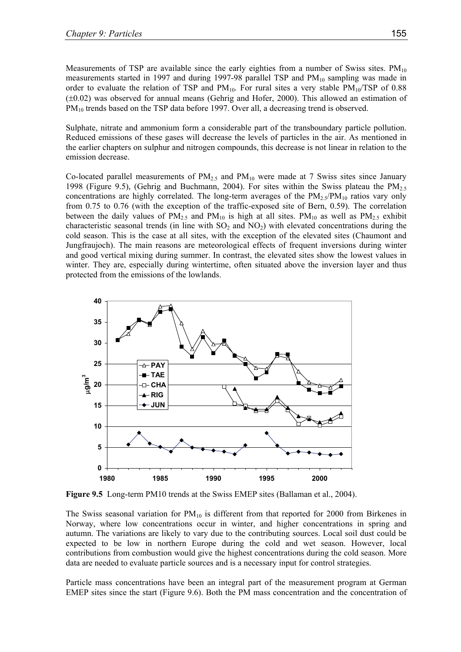Measurements of TSP are available since the early eighties from a number of Swiss sites.  $PM_{10}$ measurements started in 1997 and during 1997-98 parallel TSP and  $PM_{10}$  sampling was made in order to evaluate the relation of TSP and  $PM_{10}$ . For rural sites a very stable  $PM_{10}/TSP$  of 0.88 (±0.02) was observed for annual means (Gehrig and Hofer, 2000). This allowed an estimation of PM<sub>10</sub> trends based on the TSP data before 1997. Over all, a decreasing trend is observed.

Sulphate, nitrate and ammonium form a considerable part of the transboundary particle pollution. Reduced emissions of these gases will decrease the levels of particles in the air. As mentioned in the earlier chapters on sulphur and nitrogen compounds, this decrease is not linear in relation to the emission decrease.

Co-located parallel measurements of  $PM<sub>2.5</sub>$  and  $PM<sub>10</sub>$  were made at 7 Swiss sites since January 1998 (Figure 9.5), (Gehrig and Buchmann, 2004). For sites within the Swiss plateau the  $PM_{2.5}$ concentrations are highly correlated. The long-term averages of the  $PM_{2.5}/PM_{10}$  ratios vary only from 0.75 to 0.76 (with the exception of the traffic-exposed site of Bern, 0.59). The correlation between the daily values of  $PM_{2.5}$  and  $PM_{10}$  is high at all sites.  $PM_{10}$  as well as  $PM_{2.5}$  exhibit characteristic seasonal trends (in line with  $SO_2$  and  $NO_2$ ) with elevated concentrations during the cold season. This is the case at all sites, with the exception of the elevated sites (Chaumont and Jungfraujoch). The main reasons are meteorological effects of frequent inversions during winter and good vertical mixing during summer. In contrast, the elevated sites show the lowest values in winter. They are, especially during wintertime, often situated above the inversion layer and thus protected from the emissions of the lowlands.



**Figure 9.5** Long-term PM10 trends at the Swiss EMEP sites (Ballaman et al., 2004).

The Swiss seasonal variation for  $PM_{10}$  is different from that reported for 2000 from Birkenes in Norway, where low concentrations occur in winter, and higher concentrations in spring and autumn. The variations are likely to vary due to the contributing sources. Local soil dust could be expected to be low in northern Europe during the cold and wet season. However, local contributions from combustion would give the highest concentrations during the cold season. More data are needed to evaluate particle sources and is a necessary input for control strategies.

Particle mass concentrations have been an integral part of the measurement program at German EMEP sites since the start (Figure 9.6). Both the PM mass concentration and the concentration of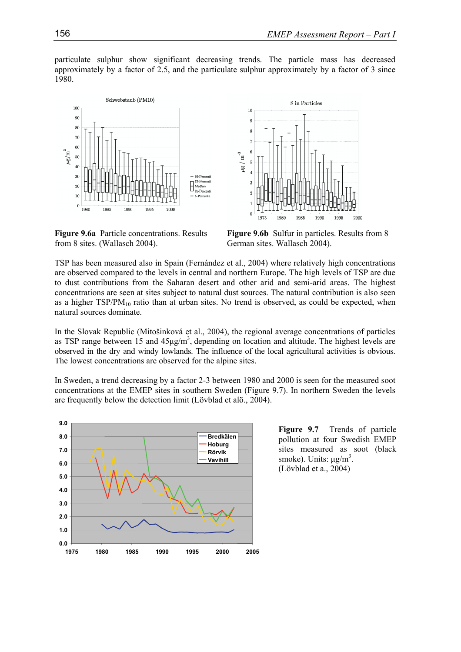particulate sulphur show significant decreasing trends. The particle mass has decreased approximately by a factor of 2.5, and the particulate sulphur approximately by a factor of 3 since 1980.





**Figure 9.6a** Particle concentrations. Results from 8 sites. (Wallasch 2004).

**Figure 9.6b** Sulfur in particles. Results from 8 German sites. Wallasch 2004).

TSP has been measured also in Spain (Fernández et al., 2004) where relatively high concentrations are observed compared to the levels in central and northern Europe. The high levels of TSP are due to dust contributions from the Saharan desert and other arid and semi-arid areas. The highest concentrations are seen at sites subject to natural dust sources. The natural contribution is also seen as a higher  $TSP/PM_{10}$  ratio than at urban sites. No trend is observed, as could be expected, when natural sources dominate.

In the Slovak Republic (Mitošinková et al., 2004), the regional average concentrations of particles as TSP range between 15 and  $45\mu g/m<sup>3</sup>$ , depending on location and altitude. The highest levels are observed in the dry and windy lowlands. The influence of the local agricultural activities is obvious. The lowest concentrations are observed for the alpine sites.

In Sweden, a trend decreasing by a factor 2-3 between 1980 and 2000 is seen for the measured soot concentrations at the EMEP sites in southern Sweden (Figure 9.7). In northern Sweden the levels are frequently below the detection limit (Lövblad et alö., 2004).



**Figure 9.7** Trends of particle pollution at four Swedish EMEP sites measured as soot (black smoke). Units:  $\mu$ g/m<sup>3</sup>. (Lövblad et a., 2004)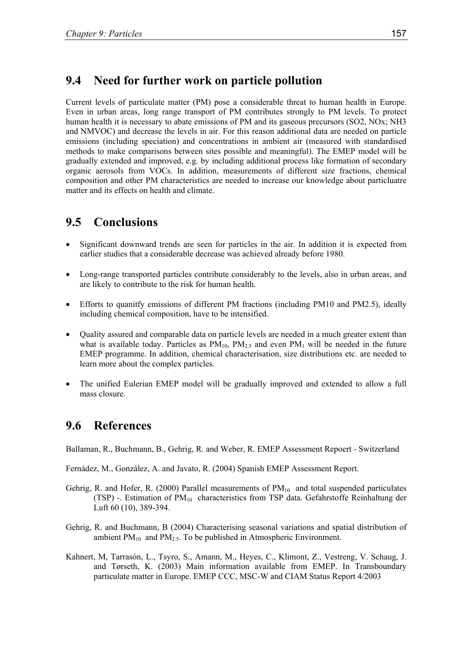## **9.4 Need for further work on particle pollution**

Current levels of particulate matter (PM) pose a considerable threat to human health in Europe. Even in urban areas, long range transport of PM contributes strongly to PM levels. To protect human health it is necessary to abate emissions of PM and its gaseous precursors (SO2, NOx; NH3) and NMVOC) and decrease the levels in air. For this reason additional data are needed on particle emissions (including speciation) and concentrations in ambient air (measured with standardised methods to make comparisons between sites possible and meaningful). The EMEP model will be gradually extended and improved, e.g. by including additional process like formation of secondary organic aerosols from VOCs. In addition, measurements of different size fractions, chemical composition and other PM characteristics are needed to increase our knowledge about particluatre matter and its effects on health and climate.

## **9.5 Conclusions**

- Significant downward trends are seen for particles in the air. In addition it is expected from earlier studies that a considerable decrease was achieved already before 1980.
- Long-range transported particles contribute considerably to the levels, also in urban areas, and are likely to contribute to the risk for human health.
- Efforts to quanitfy emissions of different PM fractions (including PM10 and PM2.5), ideally including chemical composition, have to be intensified.
- Quality assured and comparable data on particle levels are needed in a much greater extent than what is available today. Particles as  $\overline{PM}_{10}$ ,  $\overline{PM}_{2.5}$  and even  $\overline{PM}_{1}$  will be needed in the future EMEP programme. In addition, chemical characterisation, size distributions etc. are needed to learn more about the complex particles.
- The unified Eulerian EMEP model will be gradually improved and extended to allow a full mass closure.

### **9.6 References**

Ballaman, R., Buchmann, B., Gehrig, R. and Weber, R. EMEP Assessment Repoert - Switzerland

Fernádez, M., González, A. and Javato, R. (2004) Spanish EMEP Assessment Report.

- Gehrig, R. and Hofer, R. (2000) Parallel measurements of  $PM_{10}$  and total suspended particulates (TSP) -. Estimation of  $PM_{10}$  characteristics from TSP data. Gefahrstoffe Reinhaltung der Luft 60 (10), 389-394.
- Gehrig, R. and Buchmann, B (2004) Characterising seasonal variations and spatial distribution of ambient  $PM_{10}$  and  $PM_{2.5}$ . To be published in Atmospheric Environment.
- Kahnert, M, Tarrasón, L., Tsyro, S., Amann, M., Heyes, C., Klimont, Z., Vestreng, V. Schaug, J. and Tørseth, K. (2003) Main information available from EMEP. In Transboundary particulate matter in Europe. EMEP CCC, MSC-W and CIAM Status Report 4/2003